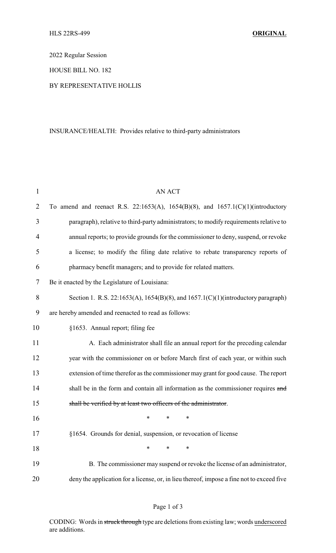2022 Regular Session

HOUSE BILL NO. 182

## BY REPRESENTATIVE HOLLIS

## INSURANCE/HEALTH: Provides relative to third-party administrators

| $\mathbf{1}$   | <b>AN ACT</b>                                                                             |  |  |
|----------------|-------------------------------------------------------------------------------------------|--|--|
| $\overline{2}$ | To amend and reenact R.S. 22:1653(A), 1654(B)(8), and 1657.1(C)(1)(introductory           |  |  |
| 3              | paragraph), relative to third-party administrators; to modify requirements relative to    |  |  |
| $\overline{4}$ | annual reports; to provide grounds for the commissioner to deny, suspend, or revoke       |  |  |
| 5              | a license; to modify the filing date relative to rebate transparency reports of           |  |  |
| 6              | pharmacy benefit managers; and to provide for related matters.                            |  |  |
| 7              | Be it enacted by the Legislature of Louisiana:                                            |  |  |
| 8              | Section 1. R.S. 22:1653(A), 1654(B)(8), and 1657.1(C)(1)(introductory paragraph)          |  |  |
| 9              | are hereby amended and reenacted to read as follows:                                      |  |  |
| 10             | §1653. Annual report; filing fee                                                          |  |  |
| 11             | A. Each administrator shall file an annual report for the preceding calendar              |  |  |
| 12             | year with the commissioner on or before March first of each year, or within such          |  |  |
| 13             | extension of time therefor as the commissioner may grant for good cause. The report       |  |  |
| 14             | shall be in the form and contain all information as the commissioner requires and         |  |  |
| 15             | shall be verified by at least two officers of the administrator.                          |  |  |
| 16             | *<br>∗<br>∗                                                                               |  |  |
| 17             | §1654. Grounds for denial, suspension, or revocation of license                           |  |  |
| 18             | *<br>*<br>∗                                                                               |  |  |
| 19             | B. The commissioner may suspend or revoke the license of an administrator,                |  |  |
| 20             | deny the application for a license, or, in lieu thereof, impose a fine not to exceed five |  |  |

## Page 1 of 3

CODING: Words in struck through type are deletions from existing law; words underscored are additions.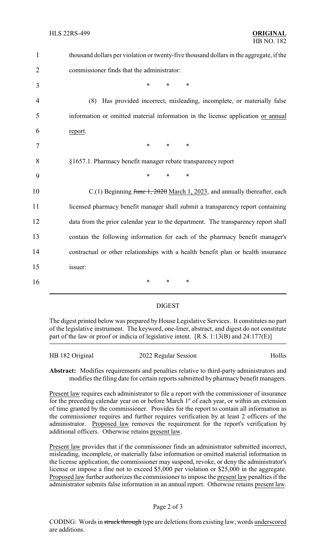| $\mathbf{1}$   | thousand dollars per violation or twenty-five thousand dollars in the aggregate, if the |
|----------------|-----------------------------------------------------------------------------------------|
| $\overline{2}$ | commissioner finds that the administrator:                                              |
| 3              | *<br>$\ast$<br>$\ast$                                                                   |
| 4              | Has provided incorrect, misleading, incomplete, or materially false<br>(8)              |
| 5              | information or omitted material information in the license application or annual        |
| 6              | report.                                                                                 |
| 7              | $\ast$<br>$\ast$<br>$\ast$                                                              |
| 8              | §1657.1. Pharmacy benefit manager rebate transparency report                            |
| 9              | $\ast$<br>$\ast$<br>$\ast$                                                              |
| 10             | $C(1)$ Beginning June 1, 2020 March 1, 2023, and annually thereafter, each              |
| 11             | licensed pharmacy benefit manager shall submit a transparency report containing         |
| 12             | data from the prior calendar year to the department. The transparency report shall      |
| 13             | contain the following information for each of the pharmacy benefit manager's            |
| 14             | contractual or other relationships with a health benefit plan or health insurance       |
| 15             | issuer:                                                                                 |
| 16             | $\ast$<br>$\ast$<br>∗                                                                   |
|                |                                                                                         |

## DIGEST

The digest printed below was prepared by House Legislative Services. It constitutes no part of the legislative instrument. The keyword, one-liner, abstract, and digest do not constitute part of the law or proof or indicia of legislative intent. [R.S. 1:13(B) and 24:177(E)]

| HB 182 Original | 2022 Regular Session | Hollis |
|-----------------|----------------------|--------|
|                 |                      |        |

**Abstract:** Modifies requirements and penalties relative to third-party administrators and modifies the filing date for certain reports submitted by pharmacy benefit managers.

Present law requires each administrator to file a report with the commissioner of insurance for the preceding calendar year on or before March 1<sup>st</sup> of each year, or within an extension of time granted by the commissioner. Provides for the report to contain all information as the commissioner requires and further requires verification by at least 2 officers of the administrator. Proposed law removes the requirement for the report's verification by additional officers. Otherwise retains present law.

Present law provides that if the commissioner finds an administrator submitted incorrect, misleading, incomplete, or materially false information or omitted material information in the license application, the commissioner may suspend, revoke, or deny the administrator's license or impose a fine not to exceed \$5,000 per violation or \$25,000 in the aggregate. Proposed law further authorizes the commissioner to impose the present law penalties if the administrator submits false information in an annual report. Otherwise retains present law.